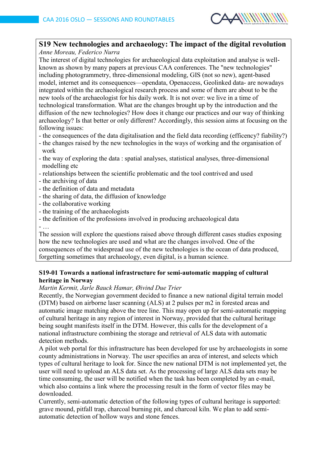

## **S19 New technologies and archaeology: The impact of the digital revolution**

*Anne Moreau, Federico Nurra*

The interest of digital technologies for archaeological data exploitation and analyse is wellknown as shown by many papers at previous CAA conferences. The "new technologies" including photogrammetry, three-dimensional modeling, GIS (not so new), agent-based model, internet and its consequences—opendata, Openaccess, Geolinked data- are nowadays integrated within the archaeological research process and some of them are about to be the new tools of the archaeologist for his daily work. It is not over: we live in a time of technological transformation. What are the changes brought up by the introduction and the diffusion of the new technologies? How does it change our practices and our way of thinking archaeology? Is that better or only different? Accordingly, this session aims at focusing on the following issues:

- the consequences of the data digitalisation and the field data recording (efficency? fiability?)
- the changes raised by the new technologies in the ways of working and the organisation of work
- the way of exploring the data : spatial analyses, statistical analyses, three-dimensional modelling etc
- relationships between the scientific problematic and the tool contrived and used
- the archiving of data
- the definition of data and metadata
- the sharing of data, the diffusion of knowledge
- the collaborative working
- the training of the archaeologists
- the definition of the professions involved in producing archaeological data
- $-$

The session will explore the questions raised above through different cases studies exposing how the new technologies are used and what are the changes involved. One of the consequences of the widespread use of the new technologies is the ocean of data produced, forgetting sometimes that archaeology, even digital, is a human science.

### **S19-01 Towards a national infrastructure for semi-automatic mapping of cultural heritage in Norway**

### *Martin Kermit, Jarle Bauck Hamar, Øivind Due Trier*

Recently, the Norwegian government decided to finance a new national digital terrain model (DTM) based on airborne laser scanning (ALS) at 2 pulses per m2 in forested areas and automatic image matching above the tree line. This may open up for semi-automatic mapping of cultural heritage in any region of interest in Norway, provided that the cultural heritage being sought manifests itself in the DTM. However, this calls for the development of a national infrastructure combining the storage and retrieval of ALS data with automatic detection methods.

A pilot web portal for this infrastructure has been developed for use by archaeologists in some county administrations in Norway. The user specifies an area of interest, and selects which types of cultural heritage to look for. Since the new national DTM is not implemented yet, the user will need to upload an ALS data set. As the processing of large ALS data sets may be time consuming, the user will be notified when the task has been completed by an e-mail, which also contains a link where the processing result in the form of vector files may be downloaded.

Currently, semi-automatic detection of the following types of cultural heritage is supported: grave mound, pitfall trap, charcoal burning pit, and charcoal kiln. We plan to add semiautomatic detection of hollow ways and stone fences.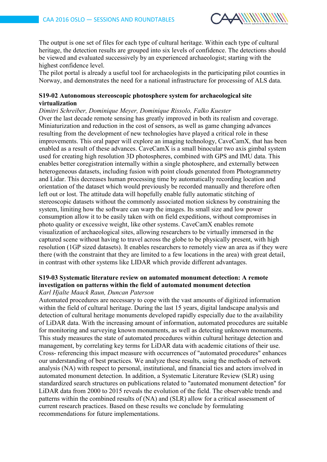

The output is one set of files for each type of cultural heritage. Within each type of cultural heritage, the detection results are grouped into six levels of confidence. The detections should be viewed and evaluated successively by an experienced archaeologist; starting with the highest confidence level.

The pilot portal is already a useful tool for archaeologists in the participating pilot counties in Norway, and demonstrates the need for a national infrastructure for processing of ALS data.

### **S19-02 Autonomous stereoscopic photosphere system for archaeological site virtualization**

*Dimitri Schreiber, Dominique Meyer, Dominique Rissolo, Falko Kuester* Over the last decade remote sensing has greatly improved in both its realism and coverage. Miniaturization and reduction in the cost of sensors, as well as game changing advances resulting from the development of new technologies have played a critical role in these improvements. This oral paper will explore an imaging technology, CaveCamX, that has been enabled as a result of these advances. CaveCamX is a small binocular two axis gimbal system used for creating high resolution 3D photospheres, combined with GPS and IMU data. This enables better coregistration internally within a single photosphere, and externally between heterogeneous datasets, including fusion with point clouds generated from Photogrammetry and Lidar. This decreases human processing time by automatically recording location and orientation of the dataset which would previously be recorded manually and therefore often left out or lost. The attitude data will hopefully enable fully automatic stitching of stereoscopic datasets without the commonly associated motion sickness by constraining the system, limiting how the software can warp the images. Its small size and low power consumption allow it to be easily taken with on field expeditions, without compromises in photo quality or excessive weight, like other systems. CaveCamX enables remote visualization of archaeological sites, allowing researchers to be virtually immersed in the captured scene without having to travel across the globe to be physically present, with high resolution (1GP sized datasets). It enables researchers to remotely view an area as if they were there (with the constraint that they are limited to a few locations in the area) with great detail, in contrast with other systems like LIDAR which provide different advantages.

#### **S19-03 Systematic literature review on automated monument detection: A remote investigation on patterns within the field of automated monument detection** *Karl Hjalte Maack Raun, Duncan Paterson*

Automated procedures are necessary to cope with the vast amounts of digitized information within the field of cultural heritage. During the last 15 years, digital landscape analysis and detection of cultural heritage monuments developed rapidly especially due to the availability of LiDAR data. With the increasing amount of information, automated procedures are suitable for monitoring and surveying known monuments, as well as detecting unknown monuments. This study measures the state of automated procedures within cultural heritage detection and management, by correlating key terms for LiDAR data with academic citations of their use. Cross- referencing this impact measure with occurrences of "automated procedures" enhances our understanding of best practices. We analyze these results, using the methods of network analysis (NA) with respect to personal, institutional, and financial ties and actors involved in automated monument detection. In addition, a Systematic Literature Review (SLR) using standardized search structures on publications related to "automated monument detection" for LiDAR data from 2000 to 2015 reveals the evolution of the field. The observable trends and patterns within the combined results of (NA) and (SLR) allow for a critical assessment of current research practices. Based on these results we conclude by formulating recommendations for future implementations.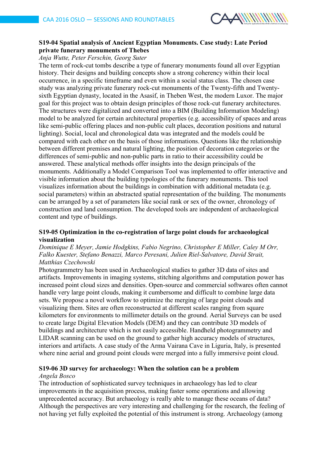

### **S19-04 Spatial analysis of Ancient Egyptian Monuments. Case study: Late Period private funerary monuments of Thebes**

### *Anja Wutte, Peter Ferschin, Georg Suter*

The term of rock-cut tombs describe a type of funerary monuments found all over Egyptian history. Their designs and building concepts show a strong coherency within their local occurrence, in a specific timeframe and even within a social status class. The chosen case study was analyzing private funerary rock-cut monuments of the Twenty-fifth and Twentysixth Egyptian dynasty, located in the Asasif, in Theben West, the modern Luxor. The major goal for this project was to obtain design principles of those rock-cut funerary architectures. The structures were digitalized and converted into a BIM (Building Information Modeling) model to be analyzed for certain architectural properties (e.g. accessibility of spaces and areas like semi-public offering places and non-public cult places, decoration positions and natural lighting). Social, local and chronological data was integrated and the models could be compared with each other on the basis of those informations. Questions like the relationship between different premises and natural lighting, the position of decoration categories or the differences of semi-public and non-public parts in ratio to their accessibility could be answered. These analytical methods offer insights into the design principals of the monuments. Additionally a Model Comparison Tool was implemented to offer interactive and visible information about the building typologies of the funerary monuments. This tool visualizes information about the buildings in combination with additional metadata (e.g. social parameters) within an abstracted spatial representation of the building. The monuments can be arranged by a set of parameters like social rank or sex of the owner, chronology of construction and land consumption. The developed tools are independent of archaeological content and type of buildings.

#### **S19-05 Optimization in the co-registration of large point clouds for archaeological visualization**

### *Dominique E Meyer, Jamie Hodgkins, Fabio Negrino, Christopher E Miller, Caley M Orr, Falko Kuester, Stefano Benazzi, Marco Peresani, Julien Riel-Salvatore, David Strait, Matthias Czechowski*

Photogrammetry has been used in Archaeological studies to gather 3D data of sites and artifacts. Improvements in imaging systems, stitching algorithms and computation power has increased point cloud sizes and densities. Open-source and commercial softwares often cannot handle very large point clouds, making it cumbersome and difficult to combine large data sets. We propose a novel workflow to optimize the merging of large point clouds and visualizing them. Sites are often reconstructed at different scales ranging from square kilometers for environments to millimeter details on the ground. Aerial Surveys can be used to create large Digital Elevation Models (DEM) and they can contribute 3D models of buildings and architecture which is not easily accessible. Handheld photogrammetry and LIDAR scanning can be used on the ground to gather high accuracy models of structures, interiors and artifacts. A case study of the Arma Vairana Cave in Liguria, Italy, is presented where nine aerial and ground point clouds were merged into a fully immersive point cloud.

### **S19-06 3D survey for archaeology: When the solution can be a problem**

#### *Angela Bosco*

The introduction of sophisticated survey techniques in archaeology has led to clear improvements in the acquisition process, making faster some operations and allowing unprecedented accuracy. But archaeology is really able to manage these oceans of data? Although the perspectives are very interesting and challenging for the research, the feeling of not having yet fully exploited the potential of this instrument is strong. Archaeology (among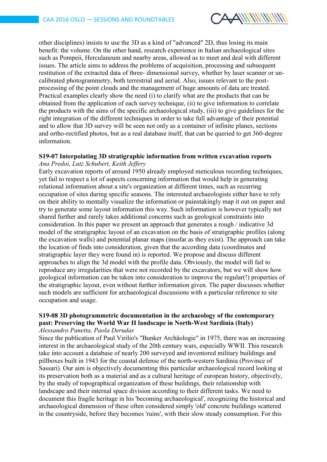

other disciplines) insists to use the 3D as a kind of "advanced" 2D, thus losing its main benefit: the volume. On the other hand, research experience in Italian archaeological sites such as Pompeii, Herculaneum and nearby areas, allowed us to meet and deal with different issues. The article aims to address the problems of acquisition, processing and subsequent restitution of the extracted data of three- dimensional survey, whether by laser scanner or uncalibrated photogrammetry, both terrestrial and aerial. Also, issues relevant to the postprocessing of the point clouds and the management of huge amounts of data are treated. Practical examples clearly show the need (i) to clarify what are the products that can be obtained from the application of each survey technique, (ii) to give information to correlate the products with the aims of the specific archaeological study, (iii) to give guidelines for the right integration of the different techniques in order to take full advantage of their potential and to allow that 3D survey will be seen not only as a container of infinite planes, sections and ortho-rectified photos, but as a real database itself, that can be queried to get 360-degree information.

# **S19-07 Interpolating 3D stratigraphic information from written excavation reports**

*Ana Predoi, Lutz Schubert, Keith Jeffery*

Early excavation reports of around 1950 already employed meticulous recording techniques, yet fail to respect a lot of aspects concerning information that would help in generating relational information about a site's organization at different times, such as recurring occupation of sites during specific seasons. The interested archaeologists either have to rely on their ability to mentally visualize the information or painstakingly map it out on paper and try to generate some layout information this way. Such information is however typically not shared further and rarely takes additional concerns such as geological constraints into consideration. In this paper we present an approach that generates a rough / indicative 3d model of the stratigraphic layout of an excavation on the basis of stratigraphic profiles (along the excavation walls) and potential planar maps (insofar as they exist). The approach can take the location of finds into consideration, given that the according data (coordinates and stratigraphic layer they were found in) is reported. We propose and discuss different approaches to align the 3d model with the profile data. Obviously, the model will fail to reproduce any irregularities that were not recorded by the excavators, but we will show how geological information can be taken into consideration to improve the regular(!) properties of the stratigraphic layout, even without further information given. The paper discusses whether such models are sufficient for archaeological discussions with a particular reference to site occupation and usage.

## **S19-08 3D photogrammetric documentation in the archaeology of the contemporary past: Preserving the World War II landscape in North-West Sardinia (Italy)**

### *Alessandro Panetta, Paola Derudas*

Since the publication of Paul Virilio's "Bunker Archäologie" in 1975, there was an increasing interest in the archaeological study of the 20th century wars, especially WWII. This research take into account a database of nearly 200 surveyed and inventored military buildings and pillboxes built in 1943 for the coastal defense of the north-western Sardinia (Province of Sassari). Our aim is objectively documenting this particular archaeological record looking at its preservation both as a material and as a cultural heritage of european history, objectively, by the study of topographical organization of these buildings, their relationship with landscape and their internal space division according to their different tasks. We need to document this fragile heritage in his 'becoming archaeological', recognizing the historical and archaeological dimension of these often considered simply 'old' concrete buildings scattered in the countryside, before they becomes 'ruins', with their slow steady consumption. For this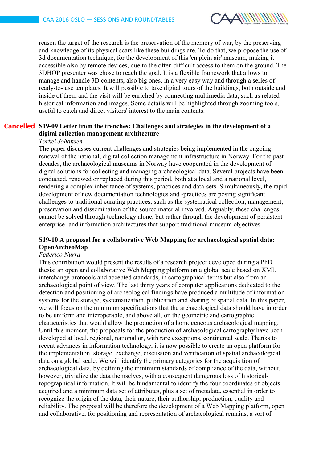

reason the target of the research is the preservation of the memory of war, by the preserving and knowledge of its physical scars like these buildings are. To do that, we propose the use of 3d documentation technique, for the development of this 'en plein air' museum, making it accessible also by remote devices, due to the often difficult access to them on the ground. The 3DHOP presenter was chose to reach the goal. It is a flexible framework that allows to manage and handle 3D contents, also big ones, in a very easy way and through a series of ready-to- use templates. It will possible to take digital tours of the buildings, both outside and inside of them and the visit will be enriched by connecting multimedia data, such as related historical information and images. Some details will be highlighted through zooming tools, useful to catch and direct visitors' interest to the main contents.

## **S19-09 Letter from the trenches: Challenges and strategies in the development of a Cancelleddigital collection management architecture**

#### *Torkel Johansen*

The paper discusses current challenges and strategies being implemented in the ongoing renewal of the national, digital collection management infrastructure in Norway. For the past decades, the archaeological museums in Norway have cooperated in the development of digital solutions for collecting and managing archaeological data. Several projects have been conducted, renewed or replaced during this period, both at a local and a national level, rendering a complex inheritance of systems, practices and data-sets. Simultaneously, the rapid development of new documentation technologies and -practices are posing significant challenges to traditional curating practices, such as the systematical collection, management, preservation and dissemination of the source material involved. Arguably, these challenges cannot be solved through technology alone, but rather through the development of persistent enterprise- and information architectures that support traditional museum objectives.

### **S19-10 A proposal for a collaborative Web Mapping for archaeological spatial data: OpenArcheoMap**

### *Federico Nurra*

This contribution would present the results of a research project developed during a PhD thesis: an open and collaborative Web Mapping platform on a global scale based on XML interchange protocols and accepted standards, in cartographical terms but also from an archaeological point of view. The last thirty years of computer applications dedicated to the detection and positioning of archeological findings have produced a multitude of information systems for the storage, systematization, publication and sharing of spatial data. In this paper, we will focus on the minimum specifications that the archaeological data should have in order to be uniform and interoperable, and above all, on the geometric and cartographic characteristics that would allow the production of a homogeneous archaeological mapping. Until this moment, the proposals for the production of archaeological cartography have been developed at local, regional, national or, with rare exceptions, continental scale. Thanks to recent advances in information technology, it is now possible to create an open platform for the implementation, storage, exchange, discussion and verification of spatial archaeological data on a global scale. We will identify the primary categories for the acquisition of archaeological data, by defining the minimum standards of compliance of the data, without, however, trivialize the data themselves, with a consequent dangerous loss of historicaltopographical information. It will be fundamental to identify the four coordinates of objects acquired and a minimum data set of attributes, plus a set of metadata, essential in order to recognize the origin of the data, their nature, their authorship, production, quality and reliability. The proposal will be therefore the development of a Web Mapping platform, open and collaborative, for positioning and representation of archaeological remains, a sort of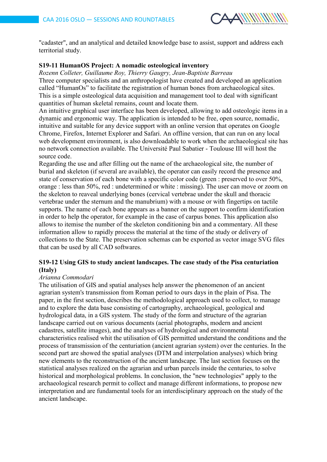

"cadaster", and an analytical and detailed knowledge base to assist, support and address each territorial study.

### **S19-11 HumanOS Project: A nomadic osteological inventory**

*Rozenn Colleter, Guillaume Roy, Thierry Gaugry, Jean-Baptiste Barreau* Three computer specialists and an anthropologist have created and developed an application called "HumanOs" to facilitate the registration of human bones from archaeological sites. This is a simple osteological data acquisition and management tool to deal with significant quantities of human skeletal remains, count and locate them.

An intuitive graphical user interface has been developed, allowing to add osteologic items in a dynamic and ergonomic way. The application is intended to be free, open source, nomadic, intuitive and suitable for any device support with an online version that operates on Google Chrome, Firefox, Internet Explorer and Safari. An offline version, that can run on any local web development environment, is also downloadable to work when the archaeological site has no network connection available. The Université Paul Sabatier - Toulouse III will host the source code.

Regarding the use and after filling out the name of the archaeological site, the number of burial and skeleton (if several are available), the operator can easily record the presence and state of conservation of each bone with a specific color code (green : preserved to over 50%, orange : less than 50%, red : undetermined or white : missing). The user can move or zoom on the skeleton to reaveal underlying bones (cervical vertebrae under the skull and thoracic vertebrae under the sternum and the manubrium) with a mouse or with fingertips on tactile supports. The name of each bone appears as a banner on the support to confirm identification in order to help the operator, for example in the case of carpus bones. This application also allows to itemise the number of the skeleton conditioning bin and a commentary. All these information allow to rapidly process the material at the time of the study or delivery of collections to the State. The preservation schemas can be exported as vector image SVG files that can be used by all CAD softwares.

### **S19-12 Using GIS to study ancient landscapes. The case study of the Pisa centuriation (Italy)**

### *Arianna Commodari*

The utilisation of GIS and spatial analyses help answer the phenomenon of an ancient agrarian system's transmission from Roman period to ours days in the plain of Pisa. The paper, in the first section, describes the methodological approach used to collect, to manage and to explore the data base consisting of cartography, archaeological, geological and hydrological data, in a GIS system. The study of the form and structure of the agrarian landscape carried out on various documents (aerial photographs, modern and ancient cadastres, satellite images), and the analyses of hydrological and environmental characteristics realised whit the utilisation of GIS permitted understand the conditions and the process of transmission of the centuriation (ancient agrarian system) over the centuries. In the second part are showed the spatial analyses (DTM and interpolation analyses) which bring new elements to the reconstruction of the ancient landscape. The last section focuses on the statistical analyses realized on the agrarian and urban parcels inside the centuries, to solve historical and morphological problems. In conclusion, the "new technologies" apply to the archaeological research permit to collect and manage different informations, to propose new interpretation and are fundamental tools for an interdisciplinary approach on the study of the ancient landscape.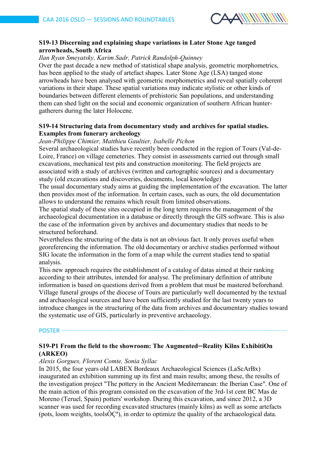

### **S19-13 Discerning and explaining shape variations in Later Stone Age tanged arrowheads, South Africa**

### *Ilan Ryan Smeyatsky, Karim Sadr, Patrick Randolph-Quinney*

Over the past decade a new method of statistical shape analysis, geometric morphometrics, has been applied to the study of artefact shapes. Later Stone Age (LSA) tanged stone arrowheads have been analysed with geometric morphometrics and reveal spatially coherent variations in their shape. These spatial variations may indicate stylistic or other kinds of boundaries between different elements of prehistoric San populations, and understanding them can shed light on the social and economic organization of southern African huntergatherers during the later Holocene.

#### **S19-14 Structuring data from documentary study and archives for spatial studies. Examples from funerary archeology**

#### *Jean-Philippe Chimier, Matthieu Gaultier, Isabelle Pichon*

Several archaeological studies have recently been conducted in the region of Tours (Val-de-Loire, France) on village cemeteries. They consist in assessments carried out through small excavations, mechanical test pits and construction monitoring. The field projects are associated with a study of archives (written and cartographic sources) and a documentary study (old excavations and discoveries, documents, local knowledge)

The usual documentary study aims at guiding the implementation of the excavation. The latter then provides most of the information. In certain cases, such as ours, the old documentation allows to understand the remains which result from limited observations.

The spatial study of these sites occupied in the long term requires the management of the archaeological documentation in a database or directly through the GIS software. This is also the case of the information given by archives and documentary studies that needs to be structured beforehand.

Nevertheless the structuring of the data is not an obvious fact. It only proves useful when georeferencing the information. The old documentary or archive studies performed without SIG locate the information in the form of a map while the current studies tend to spatial analysis.

This new approach requires the establishment of a catalog of datas aimed at their ranking according to their attributes, intended for analyse. The preliminary definition of attribute information is based on questions derived from a problem that must be mastered beforehand. Village funeral groups of the diocese of Tours are particularly well documented by the textual and archaeological sources and have been sufficiently studied for the last twenty years to introduce changes in the structuring of the data from archives and documentary studies toward the systematic use of GIS, particularly in preventive archaeology.

## POSTER ∙∙∙∙∙∙∙∙∙∙∙∙∙∙∙∙∙∙∙∙∙∙∙∙∙∙∙∙∙∙∙∙∙∙∙∙∙∙∙∙∙∙∙∙∙∙∙∙∙∙∙∙∙∙∙∙∙∙∙∙∙∙∙∙∙∙∙∙∙∙∙∙∙∙∙∙∙∙∙∙∙∙∙∙∙∙∙∙∙∙∙∙∙∙∙∙∙∙∙∙∙∙∙∙∙∙∙∙∙∙∙∙∙∙∙∙∙∙∙∙∙∙∙∙∙∙∙∙∙∙∙∙∙∙∙∙∙

### **S19-P1 From the field to the showroom: The Augmented─Reality Kilns ExhibitiOn (ARKEO)**

#### *Alexis Gorgues, Florent Comte, Sonia Syllac*

In 2015, the four years old LABEX Bordeaux Archaeological Sciences (LaScArBx) inaugurated an exhibition summing up its first and main results; among these, the results of the investigation project "The pottery in the Ancient Mediterranean: the Iberian Case". One of the main action of this program consisted on the excavation of the 3rd-1st cent BC Mas de Moreno (Teruel, Spain) potters' workshop. During this excavation, and since 2012, a 3D scanner was used for recording excavated structures (mainly kilns) as well as some artefacts (pots, loom weights, tools $\hat{O}C^a$ ), in order to optimize the quality of the archaeological data.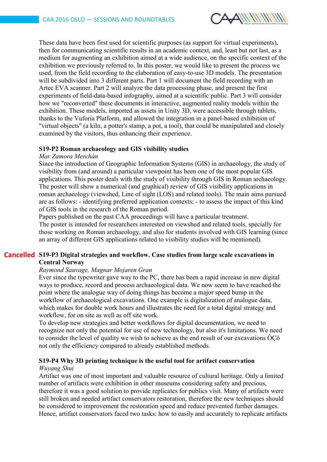

These data have been first used for scientific purposes (as support for virtual experiments), then for communicating scientific results in an academic context, and, least but not last, as a medium for augmenting an exhibition aimed at a wide audience, on the specific context of the exhibition we previously referred to. In this poster, we would like to present the process we used, from the field recording to the elaboration of easy-to-use 3D models. The presentation will be subdivided into 3 different parts. Part 1 will document the field recording with an Artec EVA scanner. Part 2 will analyze the data processing phase, and present the first experiments of field-data-based infography, aimed at a scientific public. Part 3 will consider how we "reconverted" these documents in interactive, augmented reality models within the exhibition. These models, imported as assets in Unity 3D, were accessible through tablets, thanks to the Vuforia Platform, and allowed the integration in a panel-based exhibition of "virtual objects" (a kiln, a potter's stamp, a pot, a tool), that could be manipulated and closely examined by the visitors, thus enhancing their experience.

#### **S19-P2 Roman archaeology and GIS visibility studies**

#### *Mar Zamora Merchán*

Since the introduction of Geographic Information Systems (GIS) in archaeology, the study of visibility from (and around) a particular viewpoint has been one of the most popular GIS applications. This poster deals with the study of visibility through GIS in Roman archaeology. The poster will show a numerical (and graphical) review of GIS visibility applications in roman archaeology (viewshed, Line of sight (LOS) and related tools). The main aims pursued are as follows: - identifying preferred application contexts; - to assess the impact of this kind of GIS tools in the research of the Roman period.

Papers published on the past CAA proceedings will have a particular treatment. The poster is intended for researchers interested on viewshed and related tools, specially for those working on Roman archaeology, and also for students involved with GIS learning (since an array of different GIS applications related to visibility studies will be mentioned).

### **S19-P3 Digital strategies and workflow. Case studies from large scale excavations in CancelledCentral Norway**

#### *Raymond Sauvage, Magnar Mojaren Gran*

Ever since the typewriter gave way to the PC, there has been a rapid increase in new digital ways to produce, record and process archaeological data. We now seem to have reached the point where the analogue way of doing things has become a major speed bump in the workflow of archaeological excavations. One example is digitalization of analogue data, which makes for double work hours and illustrates the need for a total digital strategy and workflow, for on site as well as off site work.

To develop new strategies and better workflows for digital documentation, we need to recognize not only the potential for use of new technology, but also it's limitations. We need to consider the level of quality we wish to achieve as the end result of our excavations  $\hat{O}C\hat{o}$ not only the efficiency compared to already established methods.

### **S19-P4 Why 3D printing technique is the useful tool for artifact conservation**

#### *Wuyang Shui*

Artifact was one of most important and valuable resource of cultural heritage. Only a limited number of artifacts were exhibition in other museums considering safety and precious, therefore it was a good solution to provide replicates for publics visit. Many of artifacts were still broken and needed artifact conservators restoration, therefore the new techniques should be considered to improvement the restoration speed and reduce prevented further damages. Hence, artifact conservators faced two tasks: how to easily and accurately to replicate artifacts